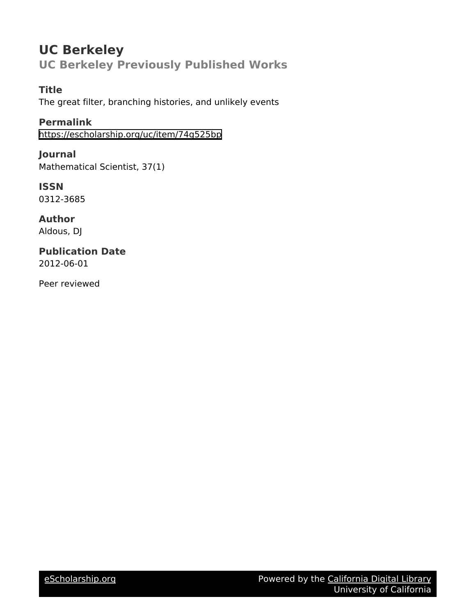# **UC Berkeley UC Berkeley Previously Published Works**

**Title** The great filter, branching histories, and unlikely events

**Permalink** <https://escholarship.org/uc/item/74g525bp>

**Journal** Mathematical Scientist, 37(1)

**ISSN** 0312-3685

**Author** Aldous, DJ

**Publication Date** 2012-06-01

Peer reviewed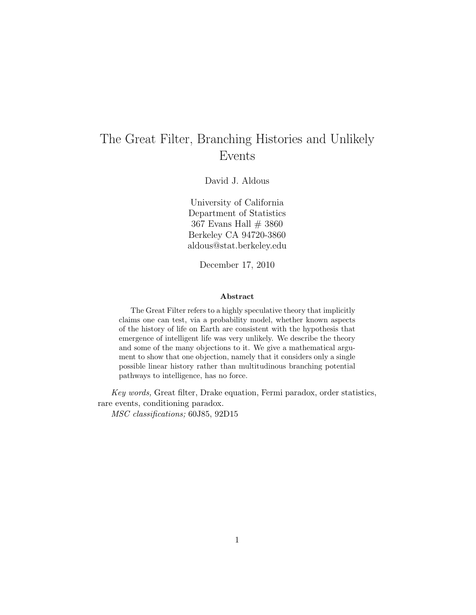## The Great Filter, Branching Histories and Unlikely Events

David J. Aldous

University of California Department of Statistics 367 Evans Hall  $\#$  3860 Berkeley CA 94720-3860 aldous@stat.berkeley.edu

December 17, 2010

#### Abstract

The Great Filter refers to a highly speculative theory that implicitly claims one can test, via a probability model, whether known aspects of the history of life on Earth are consistent with the hypothesis that emergence of intelligent life was very unlikely. We describe the theory and some of the many objections to it. We give a mathematical argument to show that one objection, namely that it considers only a single possible linear history rather than multitudinous branching potential pathways to intelligence, has no force.

Key words, Great filter, Drake equation, Fermi paradox, order statistics, rare events, conditioning paradox.

MSC classifications; 60J85, 92D15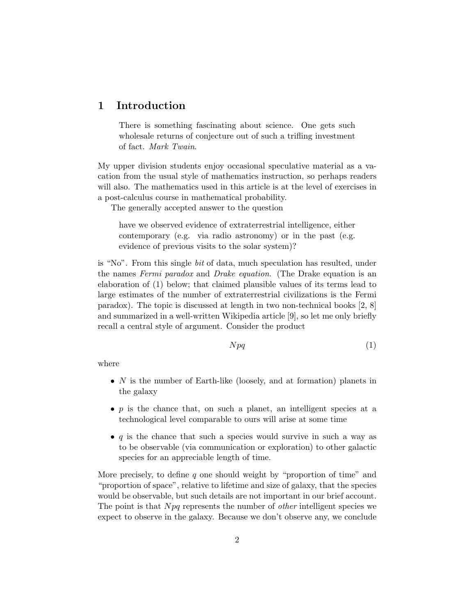## 1 Introduction

There is something fascinating about science. One gets such wholesale returns of conjecture out of such a trifling investment of fact. Mark Twain.

My upper division students enjoy occasional speculative material as a vacation from the usual style of mathematics instruction, so perhaps readers will also. The mathematics used in this article is at the level of exercises in a post-calculus course in mathematical probability.

The generally accepted answer to the question

have we observed evidence of extraterrestrial intelligence, either contemporary (e.g. via radio astronomy) or in the past (e.g. evidence of previous visits to the solar system)?

is "No". From this single bit of data, much speculation has resulted, under the names Fermi paradox and Drake equation. (The Drake equation is an elaboration of (1) below; that claimed plausible values of its terms lead to large estimates of the number of extraterrestrial civilizations is the Fermi paradox). The topic is discussed at length in two non-technical books [2, 8] and summarized in a well-written Wikipedia article [9], so let me only briefly recall a central style of argument. Consider the product

$$
Npq \tag{1}
$$

where

- $N$  is the number of Earth-like (loosely, and at formation) planets in the galaxy
- $p$  is the chance that, on such a planet, an intelligent species at a technological level comparable to ours will arise at some time
- $q$  is the chance that such a species would survive in such a way as to be observable (via communication or exploration) to other galactic species for an appreciable length of time.

More precisely, to define q one should weight by "proportion of time" and "proportion of space", relative to lifetime and size of galaxy, that the species would be observable, but such details are not important in our brief account. The point is that  $Npq$  represents the number of *other* intelligent species we expect to observe in the galaxy. Because we don't observe any, we conclude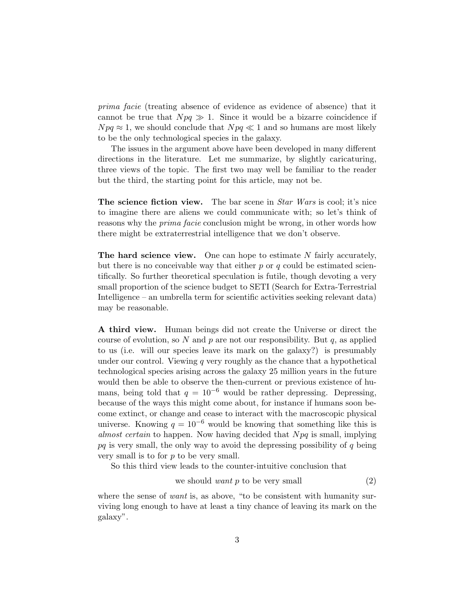prima facie (treating absence of evidence as evidence of absence) that it cannot be true that  $Npq \gg 1$ . Since it would be a bizarre coincidence if  $Npq \approx 1$ , we should conclude that  $Npq \ll 1$  and so humans are most likely to be the only technological species in the galaxy.

The issues in the argument above have been developed in many different directions in the literature. Let me summarize, by slightly caricaturing, three views of the topic. The first two may well be familiar to the reader but the third, the starting point for this article, may not be.

The science fiction view. The bar scene in *Star Wars* is cool; it's nice to imagine there are aliens we could communicate with; so let's think of reasons why the prima facie conclusion might be wrong, in other words how there might be extraterrestrial intelligence that we don't observe.

The hard science view. One can hope to estimate  $N$  fairly accurately, but there is no conceivable way that either  $p$  or  $q$  could be estimated scientifically. So further theoretical speculation is futile, though devoting a very small proportion of the science budget to SETI (Search for Extra-Terrestrial Intelligence – an umbrella term for scientific activities seeking relevant data) may be reasonable.

A third view. Human beings did not create the Universe or direct the course of evolution, so N and p are not our responsibility. But  $q$ , as applied to us (i.e. will our species leave its mark on the galaxy?) is presumably under our control. Viewing  $q$  very roughly as the chance that a hypothetical technological species arising across the galaxy 25 million years in the future would then be able to observe the then-current or previous existence of humans, being told that  $q = 10^{-6}$  would be rather depressing. Depressing, because of the ways this might come about, for instance if humans soon become extinct, or change and cease to interact with the macroscopic physical universe. Knowing  $q = 10^{-6}$  would be knowing that something like this is almost certain to happen. Now having decided that  $Npq$  is small, implying  $pq$  is very small, the only way to avoid the depressing possibility of  $q$  being very small is to for  $p$  to be very small.

So this third view leads to the counter-intuitive conclusion that

we should want 
$$
p
$$
 to be very small\n
$$
\tag{2}
$$

where the sense of want is, as above, "to be consistent with humanity surviving long enough to have at least a tiny chance of leaving its mark on the galaxy".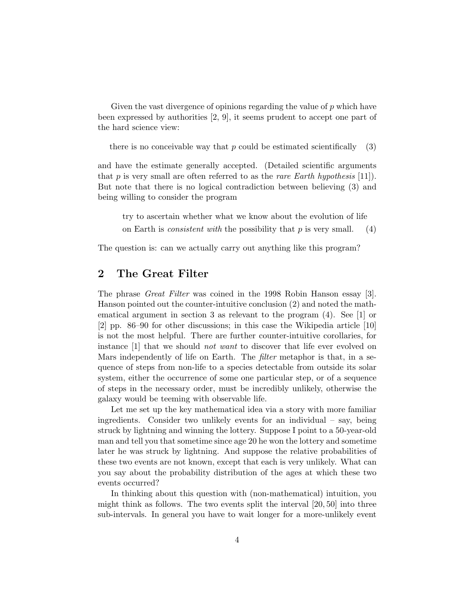Given the vast divergence of opinions regarding the value of  $p$  which have been expressed by authorities [2, 9], it seems prudent to accept one part of the hard science view:

there is no conceivable way that p could be estimated scientifically  $(3)$ 

and have the estimate generally accepted. (Detailed scientific arguments that p is very small are often referred to as the rare Earth hypothesis [11]. But note that there is no logical contradiction between believing (3) and being willing to consider the program

try to ascertain whether what we know about the evolution of life on Earth is *consistent with* the possibility that p is very small. (4)

The question is: can we actually carry out anything like this program?

## 2 The Great Filter

The phrase Great Filter was coined in the 1998 Robin Hanson essay [3]. Hanson pointed out the counter-intuitive conclusion (2) and noted the mathematical argument in section 3 as relevant to the program (4). See [1] or [2] pp. 86–90 for other discussions; in this case the Wikipedia article [10] is not the most helpful. There are further counter-intuitive corollaries, for instance [1] that we should *not want* to discover that life ever evolved on Mars independently of life on Earth. The filter metaphor is that, in a sequence of steps from non-life to a species detectable from outside its solar system, either the occurrence of some one particular step, or of a sequence of steps in the necessary order, must be incredibly unlikely, otherwise the galaxy would be teeming with observable life.

Let me set up the key mathematical idea via a story with more familiar ingredients. Consider two unlikely events for an individual  $-$  say, being struck by lightning and winning the lottery. Suppose I point to a 50-year-old man and tell you that sometime since age 20 he won the lottery and sometime later he was struck by lightning. And suppose the relative probabilities of these two events are not known, except that each is very unlikely. What can you say about the probability distribution of the ages at which these two events occurred?

In thinking about this question with (non-mathematical) intuition, you might think as follows. The two events split the interval [20, 50] into three sub-intervals. In general you have to wait longer for a more-unlikely event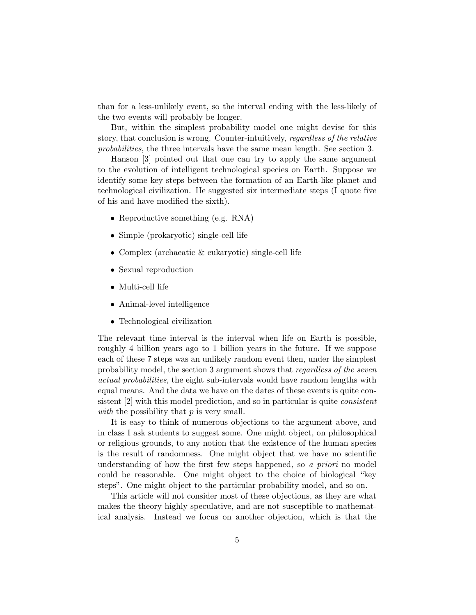than for a less-unlikely event, so the interval ending with the less-likely of the two events will probably be longer.

But, within the simplest probability model one might devise for this story, that conclusion is wrong. Counter-intuitively, regardless of the relative probabilities, the three intervals have the same mean length. See section 3.

Hanson [3] pointed out that one can try to apply the same argument to the evolution of intelligent technological species on Earth. Suppose we identify some key steps between the formation of an Earth-like planet and technological civilization. He suggested six intermediate steps (I quote five of his and have modified the sixth).

- Reproductive something (e.g. RNA)
- Simple (prokaryotic) single-cell life
- Complex (archaeatic & eukaryotic) single-cell life
- Sexual reproduction
- Multi-cell life
- Animal-level intelligence
- Technological civilization

The relevant time interval is the interval when life on Earth is possible, roughly 4 billion years ago to 1 billion years in the future. If we suppose each of these 7 steps was an unlikely random event then, under the simplest probability model, the section 3 argument shows that regardless of the seven actual probabilities, the eight sub-intervals would have random lengths with equal means. And the data we have on the dates of these events is quite consistent [2] with this model prediction, and so in particular is quite consistent with the possibility that  $p$  is very small.

It is easy to think of numerous objections to the argument above, and in class I ask students to suggest some. One might object, on philosophical or religious grounds, to any notion that the existence of the human species is the result of randomness. One might object that we have no scientific understanding of how the first few steps happened, so a priori no model could be reasonable. One might object to the choice of biological "key steps". One might object to the particular probability model, and so on.

This article will not consider most of these objections, as they are what makes the theory highly speculative, and are not susceptible to mathematical analysis. Instead we focus on another objection, which is that the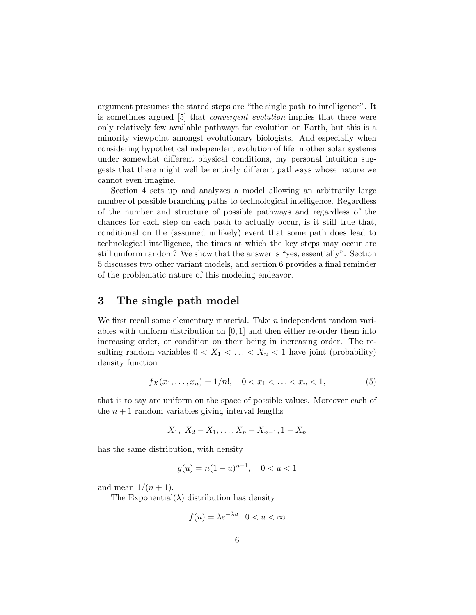argument presumes the stated steps are "the single path to intelligence". It is sometimes argued [5] that convergent evolution implies that there were only relatively few available pathways for evolution on Earth, but this is a minority viewpoint amongst evolutionary biologists. And especially when considering hypothetical independent evolution of life in other solar systems under somewhat different physical conditions, my personal intuition suggests that there might well be entirely different pathways whose nature we cannot even imagine.

Section 4 sets up and analyzes a model allowing an arbitrarily large number of possible branching paths to technological intelligence. Regardless of the number and structure of possible pathways and regardless of the chances for each step on each path to actually occur, is it still true that, conditional on the (assumed unlikely) event that some path does lead to technological intelligence, the times at which the key steps may occur are still uniform random? We show that the answer is "yes, essentially". Section 5 discusses two other variant models, and section 6 provides a final reminder of the problematic nature of this modeling endeavor.

### 3 The single path model

We first recall some elementary material. Take *n* independent random variables with uniform distribution on  $[0, 1]$  and then either re-order them into increasing order, or condition on their being in increasing order. The resulting random variables  $0 < X_1 < \ldots < X_n < 1$  have joint (probability) density function

$$
f_X(x_1, \ldots, x_n) = 1/n!, \quad 0 < x_1 < \ldots < x_n < 1,\tag{5}
$$

that is to say are uniform on the space of possible values. Moreover each of the  $n+1$  random variables giving interval lengths

$$
X_1, X_2 - X_1, \ldots, X_n - X_{n-1}, 1 - X_n
$$

has the same distribution, with density

$$
g(u) = n(1 - u)^{n-1}, \quad 0 < u < 1
$$

and mean  $1/(n+1)$ .

The Exponential $(\lambda)$  distribution has density

$$
f(u) = \lambda e^{-\lambda u}, \ 0 < u < \infty
$$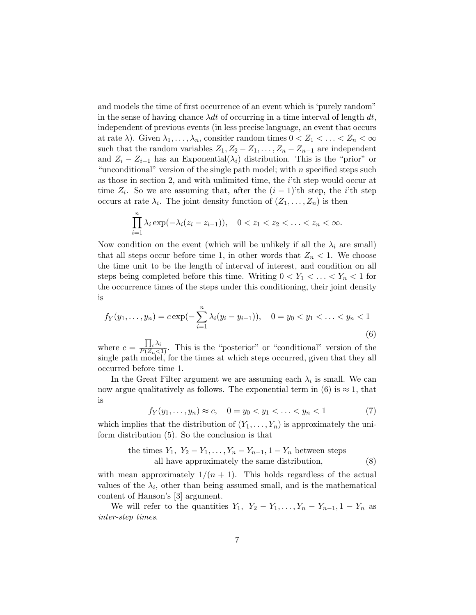and models the time of first occurrence of an event which is 'purely random" in the sense of having chance  $\lambda dt$  of occurring in a time interval of length  $dt$ , independent of previous events (in less precise language, an event that occurs at rate  $\lambda$ ). Given  $\lambda_1, \ldots, \lambda_n$ , consider random times  $0 < Z_1 < \ldots < Z_n < \infty$ such that the random variables  $Z_1, Z_2 - Z_1, \ldots, Z_n - Z_{n-1}$  are independent and  $Z_i - Z_{i-1}$  has an Exponential( $\lambda_i$ ) distribution. This is the "prior" or "unconditional" version of the single path model; with  $n$  specified steps such as those in section 2, and with unlimited time, the i'th step would occur at time  $Z_i$ . So we are assuming that, after the  $(i-1)$ 'th step, the *i*'th step occurs at rate  $\lambda_i$ . The joint density function of  $(Z_1, \ldots, Z_n)$  is then

$$
\prod_{i=1}^{n} \lambda_i \exp(-\lambda_i (z_i - z_{i-1})), \quad 0 < z_1 < z_2 < \ldots < z_n < \infty.
$$

Now condition on the event (which will be unlikely if all the  $\lambda_i$  are small) that all steps occur before time 1, in other words that  $Z_n < 1$ . We choose the time unit to be the length of interval of interest, and condition on all steps being completed before this time. Writing  $0 < Y_1 < \ldots < Y_n < 1$  for the occurrence times of the steps under this conditioning, their joint density is

$$
f_Y(y_1,\ldots,y_n) = c \exp(-\sum_{i=1}^n \lambda_i (y_i - y_{i-1})), \quad 0 = y_0 < y_1 < \ldots < y_n < 1 \tag{6}
$$

where  $c = \frac{\prod_i \lambda_i}{P(Z_n \leq 1)}$ . This is the "posterior" or "conditional" version of the single path model, for the times at which steps occurred, given that they all occurred before time 1.

In the Great Filter argument we are assuming each  $\lambda_i$  is small. We can now argue qualitatively as follows. The exponential term in (6) is  $\approx 1$ , that is

$$
f_Y(y_1, \dots, y_n) \approx c, \quad 0 = y_0 < y_1 < \dots < y_n < 1 \tag{7}
$$

which implies that the distribution of  $(Y_1, \ldots, Y_n)$  is approximately the uniform distribution (5). So the conclusion is that

the times 
$$
Y_1, Y_2 - Y_1, \ldots, Y_n - Y_{n-1}, 1 - Y_n
$$
 between steps  
all have approximately the same distribution, (8)

with mean approximately  $1/(n + 1)$ . This holds regardless of the actual values of the  $\lambda_i$ , other than being assumed small, and is the mathematical content of Hanson's [3] argument.

We will refer to the quantities  $Y_1$ ,  $Y_2 - Y_1, \ldots, Y_n - Y_{n-1}$ ,  $1 - Y_n$  as inter-step times.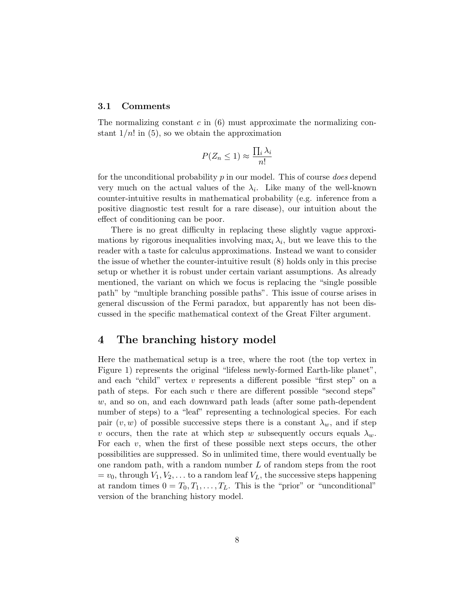#### 3.1 Comments

The normalizing constant  $c$  in  $(6)$  must approximate the normalizing constant  $1/n!$  in (5), so we obtain the approximation

$$
P(Z_n \le 1) \approx \frac{\prod_i \lambda_i}{n!}
$$

for the unconditional probability  $p$  in our model. This of course *does* depend very much on the actual values of the  $\lambda_i$ . Like many of the well-known counter-intuitive results in mathematical probability (e.g. inference from a positive diagnostic test result for a rare disease), our intuition about the effect of conditioning can be poor.

There is no great difficulty in replacing these slightly vague approximations by rigorous inequalities involving  $\max_i \lambda_i$ , but we leave this to the reader with a taste for calculus approximations. Instead we want to consider the issue of whether the counter-intuitive result (8) holds only in this precise setup or whether it is robust under certain variant assumptions. As already mentioned, the variant on which we focus is replacing the "single possible path" by "multiple branching possible paths". This issue of course arises in general discussion of the Fermi paradox, but apparently has not been discussed in the specific mathematical context of the Great Filter argument.

## 4 The branching history model

Here the mathematical setup is a tree, where the root (the top vertex in Figure 1) represents the original "lifeless newly-formed Earth-like planet", and each "child" vertex  $v$  represents a different possible "first step" on a path of steps. For each such  $v$  there are different possible "second steps" w, and so on, and each downward path leads (after some path-dependent number of steps) to a "leaf" representing a technological species. For each pair  $(v, w)$  of possible successive steps there is a constant  $\lambda_w$ , and if step v occurs, then the rate at which step w subsequently occurs equals  $\lambda_w$ . For each  $v$ , when the first of these possible next steps occurs, the other possibilities are suppressed. So in unlimited time, there would eventually be one random path, with a random number  $L$  of random steps from the root  $= v_0$ , through  $V_1, V_2, \ldots$  to a random leaf  $V_L$ , the successive steps happening at random times  $0 = T_0, T_1, \ldots, T_L$ . This is the "prior" or "unconditional" version of the branching history model.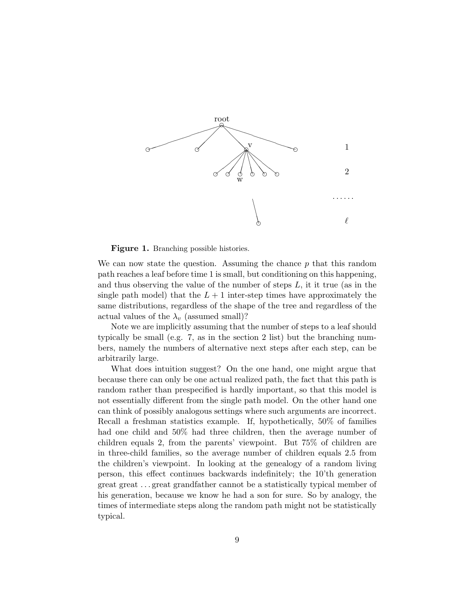

Figure 1. Branching possible histories.

We can now state the question. Assuming the chance  $p$  that this random path reaches a leaf before time 1 is small, but conditioning on this happening, and thus observing the value of the number of steps  $L$ , it it true (as in the single path model) that the  $L + 1$  inter-step times have approximately the same distributions, regardless of the shape of the tree and regardless of the actual values of the  $\lambda_v$  (assumed small)?

Note we are implicitly assuming that the number of steps to a leaf should typically be small (e.g. 7, as in the section 2 list) but the branching numbers, namely the numbers of alternative next steps after each step, can be arbitrarily large.

What does intuition suggest? On the one hand, one might argue that because there can only be one actual realized path, the fact that this path is random rather than prespecified is hardly important, so that this model is not essentially different from the single path model. On the other hand one can think of possibly analogous settings where such arguments are incorrect. Recall a freshman statistics example. If, hypothetically, 50% of families had one child and 50% had three children, then the average number of children equals 2, from the parents' viewpoint. But 75% of children are in three-child families, so the average number of children equals 2.5 from the children's viewpoint. In looking at the genealogy of a random living person, this effect continues backwards indefinitely; the 10'th generation great great . . . great grandfather cannot be a statistically typical member of his generation, because we know he had a son for sure. So by analogy, the times of intermediate steps along the random path might not be statistically typical.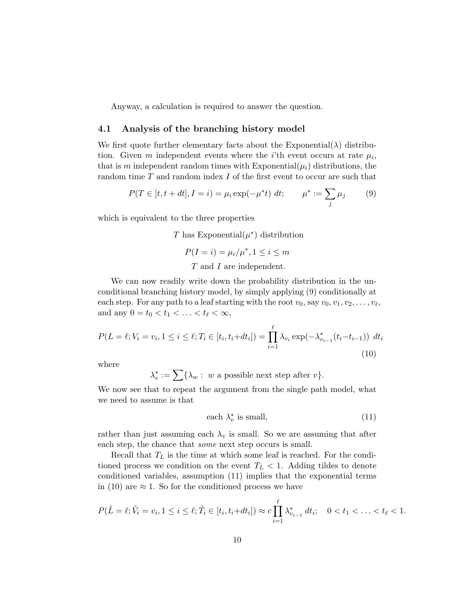Anyway, a calculation is required to answer the question.

#### 4.1 Analysis of the branching history model

We first quote further elementary facts about the Exponential( $\lambda$ ) distribution. Given m independent events where the *i*'th event occurs at rate  $\mu_i$ , that is m independent random times with Exponential $(\mu_i)$  distributions, the random time T and random index I of the first event to occur are such that

$$
P(T \in [t, t + dt], I = i) = \mu_i \exp(-\mu^* t) dt; \qquad \mu^* := \sum_j \mu_j \tag{9}
$$

which is equivalent to the three properties

T has Exponential $(\mu^*)$  distribution

$$
P(I = i) = \mu_i / \mu^*, 1 \le i \le m
$$

#### T and I are independent.

We can now readily write down the probability distribution in the unconditional branching history model, by simply applying (9) conditionally at each step. For any path to a leaf starting with the root  $v_0$ , say  $v_0, v_1, v_2, \ldots, v_\ell$ , and any  $0 = t_0 < t_1 < \ldots < t_\ell < \infty$ ,

$$
P(L = \ell; V_i = v_i, 1 \le i \le \ell; T_i \in [t_i, t_i + dt_i]) = \prod_{i=1}^{\ell} \lambda_{v_i} \exp(-\lambda_{v_{i-1}}^*(t_i - t_{i-1})) dt_i
$$
\n(10)

where

 $\lambda_v^* := \sum {\{\lambda_w : w \text{ a possible next step after } v\}}.$ 

We now see that to repeat the argument from the single path model, what we need to assume is that

each 
$$
\lambda_v^*
$$
 is small, (11)

rather than just assuming each  $\lambda_v$  is small. So we are assuming that after each step, the chance that *some* next step occurs is small.

Recall that  $T_L$  is the time at which some leaf is reached. For the conditioned process we condition on the event  $T_L < 1$ . Adding tildes to denote conditioned variables, assumption (11) implies that the exponential terms in (10) are  $\approx$  1. So for the conditioned process we have

$$
P(\tilde{L} = \ell; \tilde{V}_i = v_i, 1 \leq i \leq \ell; \tilde{T}_i \in [t_i, t_i + dt_i]) \approx c \prod_{i=1}^{\ell} \lambda_{v_{i-1}}^* dt_i; \quad 0 < t_1 < \ldots < t_{\ell} < 1.
$$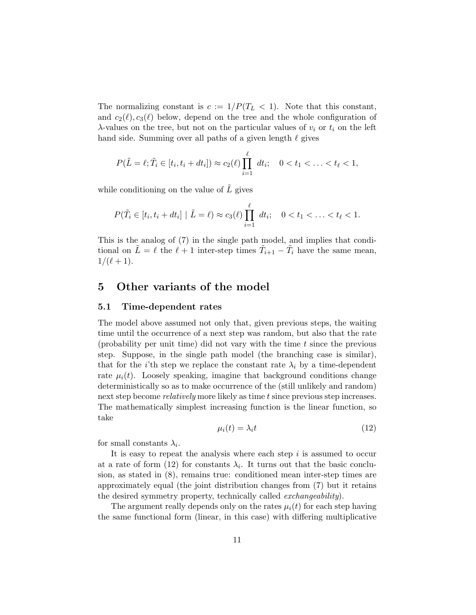The normalizing constant is  $c := 1/P(T_L < 1)$ . Note that this constant, and  $c_2(\ell), c_3(\ell)$  below, depend on the tree and the whole configuration of  $\lambda$ -values on the tree, but not on the particular values of  $v_i$  or  $t_i$  on the left hand side. Summing over all paths of a given length  $\ell$  gives

$$
P(\tilde{L} = \ell; \tilde{T}_i \in [t_i, t_i + dt_i]) \approx c_2(\ell) \prod_{i=1}^{\ell} dt_i; \quad 0 < t_1 < \ldots < t_{\ell} < 1,
$$

while conditioning on the value of  $\tilde{L}$  gives

$$
P(\tilde{T}_i \in [t_i, t_i + dt_i] | \tilde{L} = \ell) \approx c_3(\ell) \prod_{i=1}^{\ell} dt_i; \quad 0 < t_1 < \ldots < t_{\ell} < 1.
$$

This is the analog of (7) in the single path model, and implies that conditional on  $\tilde{L} = \ell$  the  $\ell + 1$  inter-step times  $\tilde{T}_{i+1} - \tilde{T}_i$  have the same mean,  $1/(\ell + 1)$ .

## 5 Other variants of the model

#### 5.1 Time-dependent rates

The model above assumed not only that, given previous steps, the waiting time until the occurrence of a next step was random, but also that the rate (probability per unit time) did not vary with the time  $t$  since the previous step. Suppose, in the single path model (the branching case is similar), that for the *i*'th step we replace the constant rate  $\lambda_i$  by a time-dependent rate  $\mu_i(t)$ . Loosely speaking, imagine that background conditions change deterministically so as to make occurrence of the (still unlikely and random) next step become *relatively* more likely as time t since previous step increases. The mathematically simplest increasing function is the linear function, so take

$$
\mu_i(t) = \lambda_i t \tag{12}
$$

for small constants  $\lambda_i$ .

It is easy to repeat the analysis where each step  $i$  is assumed to occur at a rate of form (12) for constants  $\lambda_i$ . It turns out that the basic conclusion, as stated in (8), remains true: conditioned mean inter-step times are approximately equal (the joint distribution changes from (7) but it retains the desired symmetry property, technically called *exchangeability*).

The argument really depends only on the rates  $\mu_i(t)$  for each step having the same functional form (linear, in this case) with differing multiplicative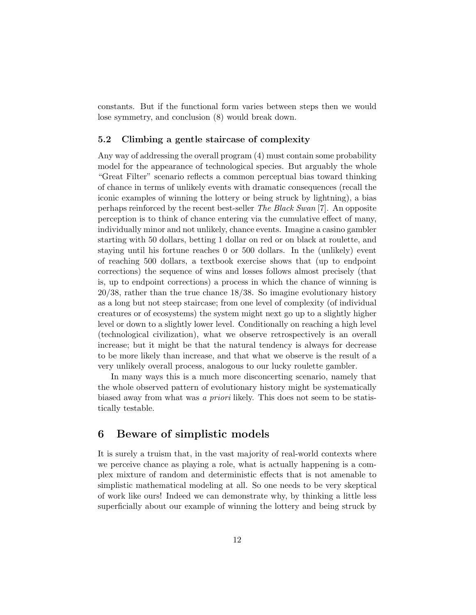constants. But if the functional form varies between steps then we would lose symmetry, and conclusion (8) would break down.

### 5.2 Climbing a gentle staircase of complexity

Any way of addressing the overall program (4) must contain some probability model for the appearance of technological species. But arguably the whole "Great Filter" scenario reflects a common perceptual bias toward thinking of chance in terms of unlikely events with dramatic consequences (recall the iconic examples of winning the lottery or being struck by lightning), a bias perhaps reinforced by the recent best-seller The Black Swan [7]. An opposite perception is to think of chance entering via the cumulative effect of many, individually minor and not unlikely, chance events. Imagine a casino gambler starting with 50 dollars, betting 1 dollar on red or on black at roulette, and staying until his fortune reaches 0 or 500 dollars. In the (unlikely) event of reaching 500 dollars, a textbook exercise shows that (up to endpoint corrections) the sequence of wins and losses follows almost precisely (that is, up to endpoint corrections) a process in which the chance of winning is 20/38, rather than the true chance 18/38. So imagine evolutionary history as a long but not steep staircase; from one level of complexity (of individual creatures or of ecosystems) the system might next go up to a slightly higher level or down to a slightly lower level. Conditionally on reaching a high level (technological civilization), what we observe retrospectively is an overall increase; but it might be that the natural tendency is always for decrease to be more likely than increase, and that what we observe is the result of a very unlikely overall process, analogous to our lucky roulette gambler.

In many ways this is a much more disconcerting scenario, namely that the whole observed pattern of evolutionary history might be systematically biased away from what was a priori likely. This does not seem to be statistically testable.

## 6 Beware of simplistic models

It is surely a truism that, in the vast majority of real-world contexts where we perceive chance as playing a role, what is actually happening is a complex mixture of random and deterministic effects that is not amenable to simplistic mathematical modeling at all. So one needs to be very skeptical of work like ours! Indeed we can demonstrate why, by thinking a little less superficially about our example of winning the lottery and being struck by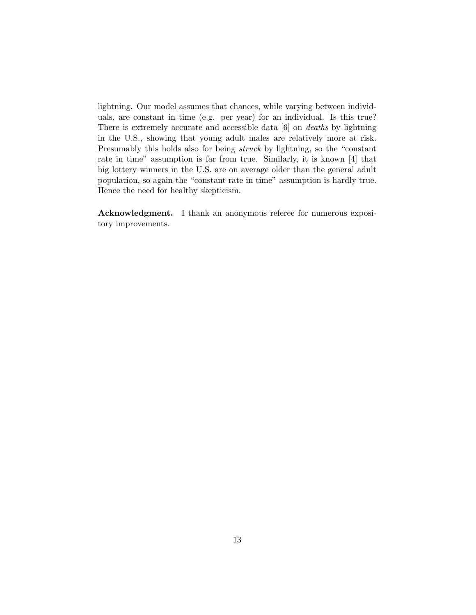lightning. Our model assumes that chances, while varying between individuals, are constant in time (e.g. per year) for an individual. Is this true? There is extremely accurate and accessible data [6] on deaths by lightning in the U.S., showing that young adult males are relatively more at risk. Presumably this holds also for being struck by lightning, so the "constant rate in time" assumption is far from true. Similarly, it is known [4] that big lottery winners in the U.S. are on average older than the general adult population, so again the "constant rate in time" assumption is hardly true. Hence the need for healthy skepticism.

Acknowledgment. I thank an anonymous referee for numerous expository improvements.